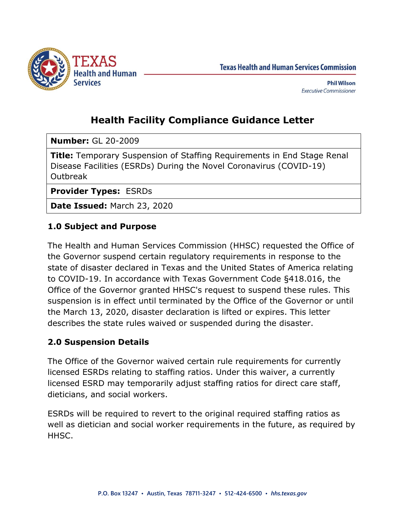

**Texas Health and Human Services Commission** 

# **Health Facility Compliance Guidance Letter**

**Number:** GL 20-2009

**Title:** Temporary Suspension of Staffing Requirements in End Stage Renal Disease Facilities (ESRDs) During the Novel Coronavirus (COVID-19) Outbreak

**Provider Types:** ESRDs

**Date Issued:** March 23, 2020

## **1.0 Subject and Purpose**

The Health and Human Services Commission (HHSC) requested the Office of the Governor suspend certain regulatory requirements in response to the state of disaster declared in Texas and the United States of America relating to COVID-19. In accordance with Texas Government Code §418.016, the Office of the Governor granted HHSC's request to suspend these rules. This suspension is in effect until terminated by the Office of the Governor or until the March 13, 2020, disaster declaration is lifted or expires. This letter describes the state rules waived or suspended during the disaster.

# **2.0 Suspension Details**

The Office of the Governor waived certain rule requirements for currently licensed ESRDs relating to staffing ratios. Under this waiver, a currently licensed ESRD may temporarily adjust staffing ratios for direct care staff, dieticians, and social workers.

ESRDs will be required to revert to the original required staffing ratios as well as dietician and social worker requirements in the future, as required by HHSC.